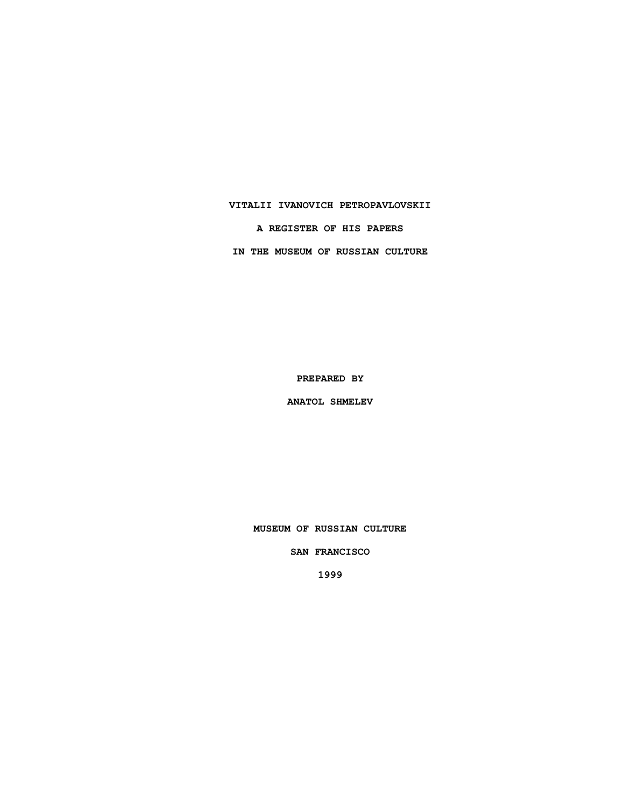### **VITALII IVANOVICH PETROPAVLOVSKII**

**A REGISTER OF HIS PAPERS**

**IN THE MUSEUM OF RUSSIAN CULTURE**

**PREPARED BY**

**ANATOL SHMELEV**

**MUSEUM OF RUSSIAN CULTURE**

**SAN FRANCISCO**

**1999**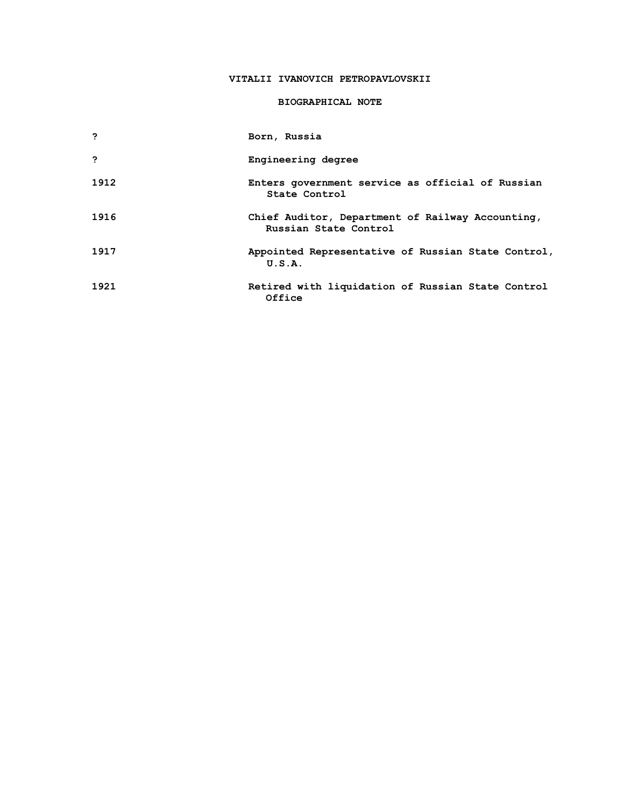# **VITALII IVANOVICH PETROPAVLOVSKII**

# **BIOGRAPHICAL NOTE**

| ,    | Born, Russia                                                              |
|------|---------------------------------------------------------------------------|
| ,    | Engineering degree                                                        |
| 1912 | Enters government service as official of Russian<br>State Control         |
| 1916 | Chief Auditor, Department of Railway Accounting,<br>Russian State Control |
| 1917 | Appointed Representative of Russian State Control,<br>U.S.A.              |
| 1921 | Retired with liquidation of Russian State Control<br>Office               |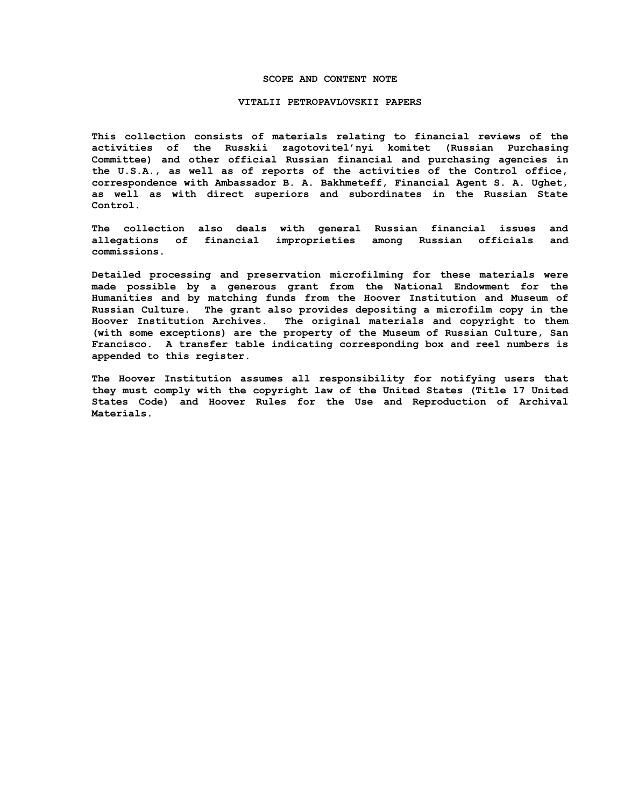### **SCOPE AND CONTENT NOTE**

#### **VITALII PETROPAVLOVSKII PAPERS**

**This collection consists of materials relating to financial reviews of the activities of the Russkii zagotovitel'nyi komitet (Russian Purchasing Committee) and other official Russian financial and purchasing agencies in the U.S.A., as well as of reports of the activities of the Control office, correspondence with Ambassador B. A. Bakhmeteff, Financial Agent S. A. Ughet, as well as with direct superiors and subordinates in the Russian State Control.**

**The collection also deals with general Russian financial issues and allegations of financial improprieties among Russian officials and commissions.**

**Detailed processing and preservation microfilming for these materials were made possible by a generous grant from the National Endowment for the Humanities and by matching funds from the Hoover Institution and Museum of Russian Culture. The grant also provides depositing a microfilm copy in the Hoover Institution Archives. The original materials and copyright to them (with some exceptions) are the property of the Museum of Russian Culture, San Francisco. A transfer table indicating corresponding box and reel numbers is appended to this register.**

**The Hoover Institution assumes all responsibility for notifying users that they must comply with the copyright law of the United States (Title 17 United States Code) and Hoover Rules for the Use and Reproduction of Archival Materials.**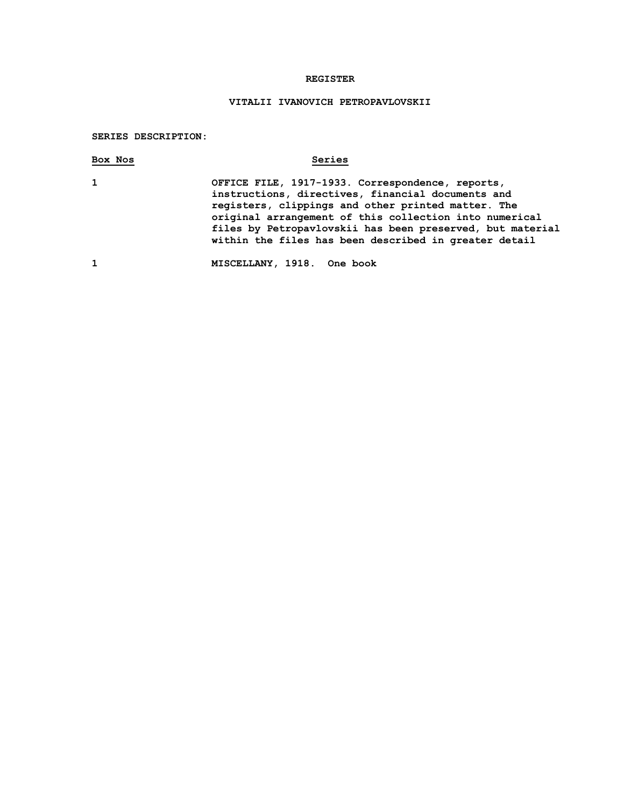# **REGISTER**

# **VITALII IVANOVICH PETROPAVLOVSKII**

**SERIES DESCRIPTION:**

| Box Nos      | Series                                                                                                                                                                                                                                                                                                                                      |
|--------------|---------------------------------------------------------------------------------------------------------------------------------------------------------------------------------------------------------------------------------------------------------------------------------------------------------------------------------------------|
| $\mathbf{1}$ | OFFICE FILE, 1917-1933. Correspondence, reports,<br>instructions, directives, financial documents and<br>registers, clippings and other printed matter. The<br>original arrangement of this collection into numerical<br>files by Petropavlovskii has been preserved, but material<br>within the files has been described in greater detail |
|              |                                                                                                                                                                                                                                                                                                                                             |

**1 MISCELLANY, 1918. One book**